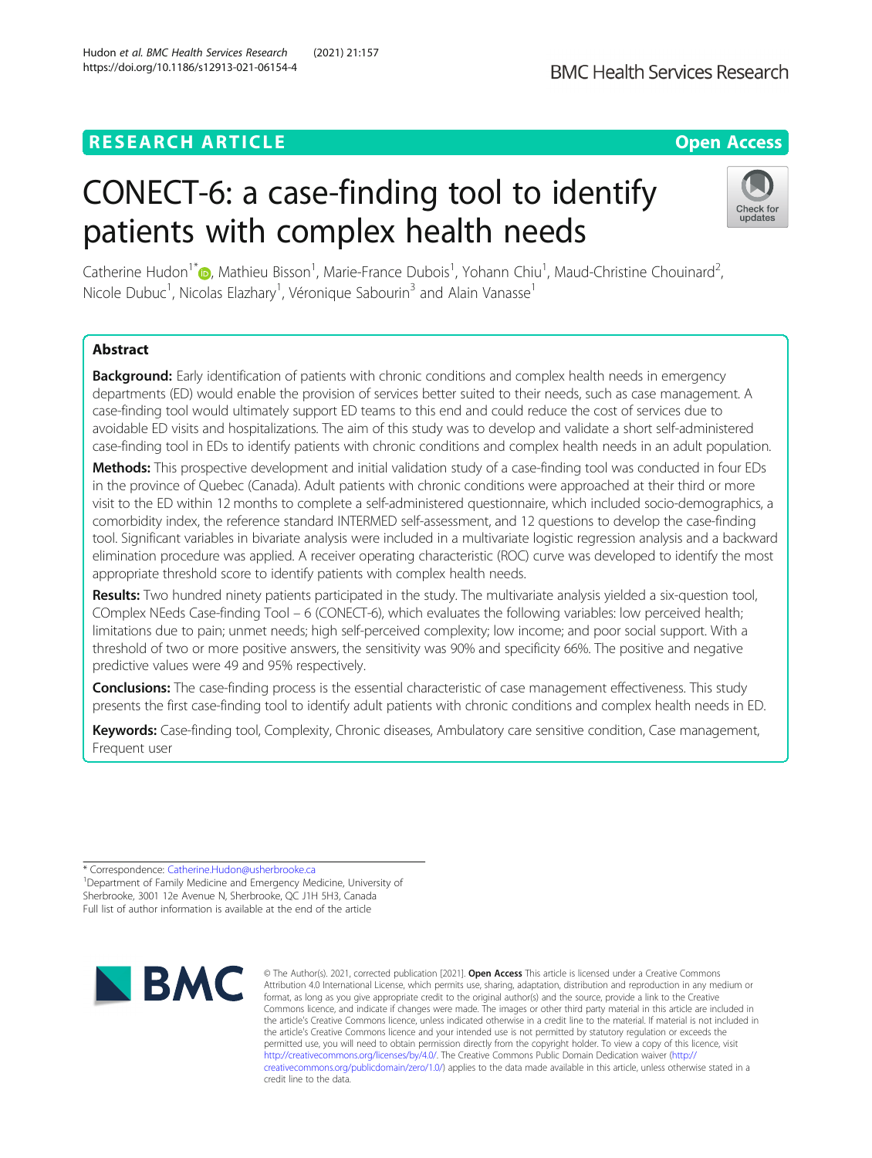## **RESEARCH ARTICLE Example 2014 12:30 The Contract of Contract ACCESS**

# CONECT-6: a case-finding tool to identify patients with complex health needs

Catherine Hudon<sup>1[\\*](http://orcid.org/0000-0001-6140-9916)</sup>®, Mathieu Bisson<sup>1</sup>, Marie-France Dubois<sup>1</sup>, Yohann Chiu<sup>1</sup>, Maud-Christine Chouinard<sup>2</sup> , Nicole Dubuc<sup>1</sup>, Nicolas Elazhary<sup>1</sup>, Véronique Sabourin<sup>3</sup> and Alain Vanasse<sup>1</sup>

## Abstract

Background: Early identification of patients with chronic conditions and complex health needs in emergency departments (ED) would enable the provision of services better suited to their needs, such as case management. A case-finding tool would ultimately support ED teams to this end and could reduce the cost of services due to avoidable ED visits and hospitalizations. The aim of this study was to develop and validate a short self-administered case-finding tool in EDs to identify patients with chronic conditions and complex health needs in an adult population.

Methods: This prospective development and initial validation study of a case-finding tool was conducted in four EDs in the province of Quebec (Canada). Adult patients with chronic conditions were approached at their third or more visit to the ED within 12 months to complete a self-administered questionnaire, which included socio-demographics, a comorbidity index, the reference standard INTERMED self-assessment, and 12 questions to develop the case-finding tool. Significant variables in bivariate analysis were included in a multivariate logistic regression analysis and a backward elimination procedure was applied. A receiver operating characteristic (ROC) curve was developed to identify the most appropriate threshold score to identify patients with complex health needs.

Results: Two hundred ninety patients participated in the study. The multivariate analysis yielded a six-question tool, COmplex NEeds Case-finding Tool – 6 (CONECT-6), which evaluates the following variables: low perceived health; limitations due to pain; unmet needs; high self-perceived complexity; low income; and poor social support. With a threshold of two or more positive answers, the sensitivity was 90% and specificity 66%. The positive and negative predictive values were 49 and 95% respectively.

Conclusions: The case-finding process is the essential characteristic of case management effectiveness. This study presents the first case-finding tool to identify adult patients with chronic conditions and complex health needs in ED.

Keywords: Case-finding tool, Complexity, Chronic diseases, Ambulatory care sensitive condition, Case management, Frequent user

\* Correspondence: [Catherine.Hudon@usherbrooke.ca](mailto:Catherine.Hudon@usherbrooke.ca) <sup>1</sup>

**NBMC** 

<sup>1</sup> Department of Family Medicine and Emergency Medicine, University of Sherbrooke, 3001 12e Avenue N, Sherbrooke, QC J1H 5H3, Canada Full list of author information is available at the end of the article

> © The Author(s). 2021, corrected publication [2021]. Open Access This article is licensed under a Creative Commons Attribution 4.0 International License, which permits use, sharing, adaptation, distribution and reproduction in any medium or format, as long as you give appropriate credit to the original author(s) and the source, provide a link to the Creative<br>Commons licence, and indicate if changes were made. The images or other third party material in this a the article's Creative Commons licence, unless indicated otherwise in a credit line to the material. If material is not included in the article's Creative Commons licence and your intended use is not permitted by statutory regulation or exceeds the permitted use, you will need to obtain permission directly from the copyright holder. To view a copy of this licence, visit <http://creativecommons.org/licenses/by/4.0/>. The Creative Commons Public Domain Dedication waiver [\(http://](http://creativecommons.org/publicdomain/zero/1.0/) [creativecommons.org/publicdomain/zero/1.0/\)](http://creativecommons.org/publicdomain/zero/1.0/) applies to the data made available in this article, unless otherwise stated in a credit line to the data.

## Hudon et al. BMC Health Services Research (2021) 21:157 https://doi.org/10.1186/s12913-021-06154-4

undates



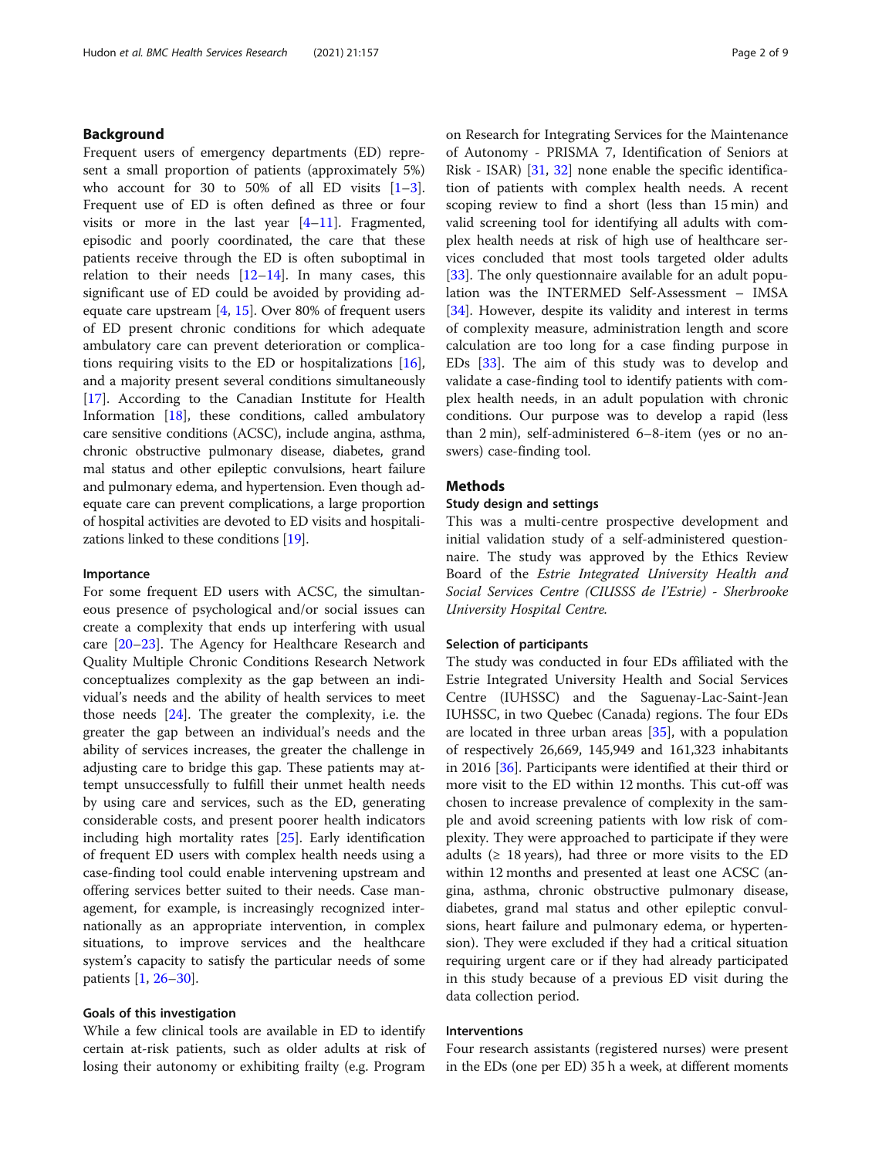## Background

Frequent users of emergency departments (ED) represent a small proportion of patients (approximately 5%) who account for [3](#page-7-0)0 to 50% of all ED visits  $[1-3]$  $[1-3]$ . Frequent use of ED is often defined as three or four visits or more in the last year [\[4](#page-7-0)–[11\]](#page-7-0). Fragmented, episodic and poorly coordinated, the care that these patients receive through the ED is often suboptimal in relation to their needs  $[12-14]$  $[12-14]$  $[12-14]$ . In many cases, this significant use of ED could be avoided by providing adequate care upstream [[4](#page-7-0), [15](#page-7-0)]. Over 80% of frequent users of ED present chronic conditions for which adequate ambulatory care can prevent deterioration or complications requiring visits to the ED or hospitalizations [\[16](#page-7-0)], and a majority present several conditions simultaneously [[17\]](#page-7-0). According to the Canadian Institute for Health Information [\[18\]](#page-7-0), these conditions, called ambulatory care sensitive conditions (ACSC), include angina, asthma, chronic obstructive pulmonary disease, diabetes, grand mal status and other epileptic convulsions, heart failure and pulmonary edema, and hypertension. Even though adequate care can prevent complications, a large proportion of hospital activities are devoted to ED visits and hospitalizations linked to these conditions [\[19\]](#page-7-0).

## Importance

For some frequent ED users with ACSC, the simultaneous presence of psychological and/or social issues can create a complexity that ends up interfering with usual care [[20](#page-7-0)–[23](#page-7-0)]. The Agency for Healthcare Research and Quality Multiple Chronic Conditions Research Network conceptualizes complexity as the gap between an individual's needs and the ability of health services to meet those needs [\[24](#page-7-0)]. The greater the complexity, i.e. the greater the gap between an individual's needs and the ability of services increases, the greater the challenge in adjusting care to bridge this gap. These patients may attempt unsuccessfully to fulfill their unmet health needs by using care and services, such as the ED, generating considerable costs, and present poorer health indicators including high mortality rates [[25](#page-7-0)]. Early identification of frequent ED users with complex health needs using a case-finding tool could enable intervening upstream and offering services better suited to their needs. Case management, for example, is increasingly recognized internationally as an appropriate intervention, in complex situations, to improve services and the healthcare system's capacity to satisfy the particular needs of some patients [[1,](#page-7-0) [26](#page-7-0)–[30](#page-7-0)].

## Goals of this investigation

While a few clinical tools are available in ED to identify certain at-risk patients, such as older adults at risk of losing their autonomy or exhibiting frailty (e.g. Program on Research for Integrating Services for the Maintenance of Autonomy - PRISMA 7, Identification of Seniors at Risk - ISAR) [\[31,](#page-8-0) [32](#page-8-0)] none enable the specific identification of patients with complex health needs. A recent scoping review to find a short (less than 15 min) and valid screening tool for identifying all adults with complex health needs at risk of high use of healthcare services concluded that most tools targeted older adults [[33\]](#page-8-0). The only questionnaire available for an adult population was the INTERMED Self-Assessment – IMSA [[34\]](#page-8-0). However, despite its validity and interest in terms of complexity measure, administration length and score calculation are too long for a case finding purpose in EDs [[33](#page-8-0)]. The aim of this study was to develop and validate a case-finding tool to identify patients with complex health needs, in an adult population with chronic conditions. Our purpose was to develop a rapid (less than 2 min), self-administered 6–8-item (yes or no answers) case-finding tool.

## Methods

## Study design and settings

This was a multi-centre prospective development and initial validation study of a self-administered questionnaire. The study was approved by the Ethics Review Board of the Estrie Integrated University Health and Social Services Centre (CIUSSS de l'Estrie) - Sherbrooke University Hospital Centre.

## Selection of participants

The study was conducted in four EDs affiliated with the Estrie Integrated University Health and Social Services Centre (IUHSSC) and the Saguenay-Lac-Saint-Jean IUHSSC, in two Quebec (Canada) regions. The four EDs are located in three urban areas  $[35]$  $[35]$ , with a population of respectively 26,669, 145,949 and 161,323 inhabitants in 2016 [\[36](#page-8-0)]. Participants were identified at their third or more visit to the ED within 12 months. This cut-off was chosen to increase prevalence of complexity in the sample and avoid screening patients with low risk of complexity. They were approached to participate if they were adults ( $\geq$  18 years), had three or more visits to the ED within 12 months and presented at least one ACSC (angina, asthma, chronic obstructive pulmonary disease, diabetes, grand mal status and other epileptic convulsions, heart failure and pulmonary edema, or hypertension). They were excluded if they had a critical situation requiring urgent care or if they had already participated in this study because of a previous ED visit during the data collection period.

## Interventions

Four research assistants (registered nurses) were present in the EDs (one per ED) 35 h a week, at different moments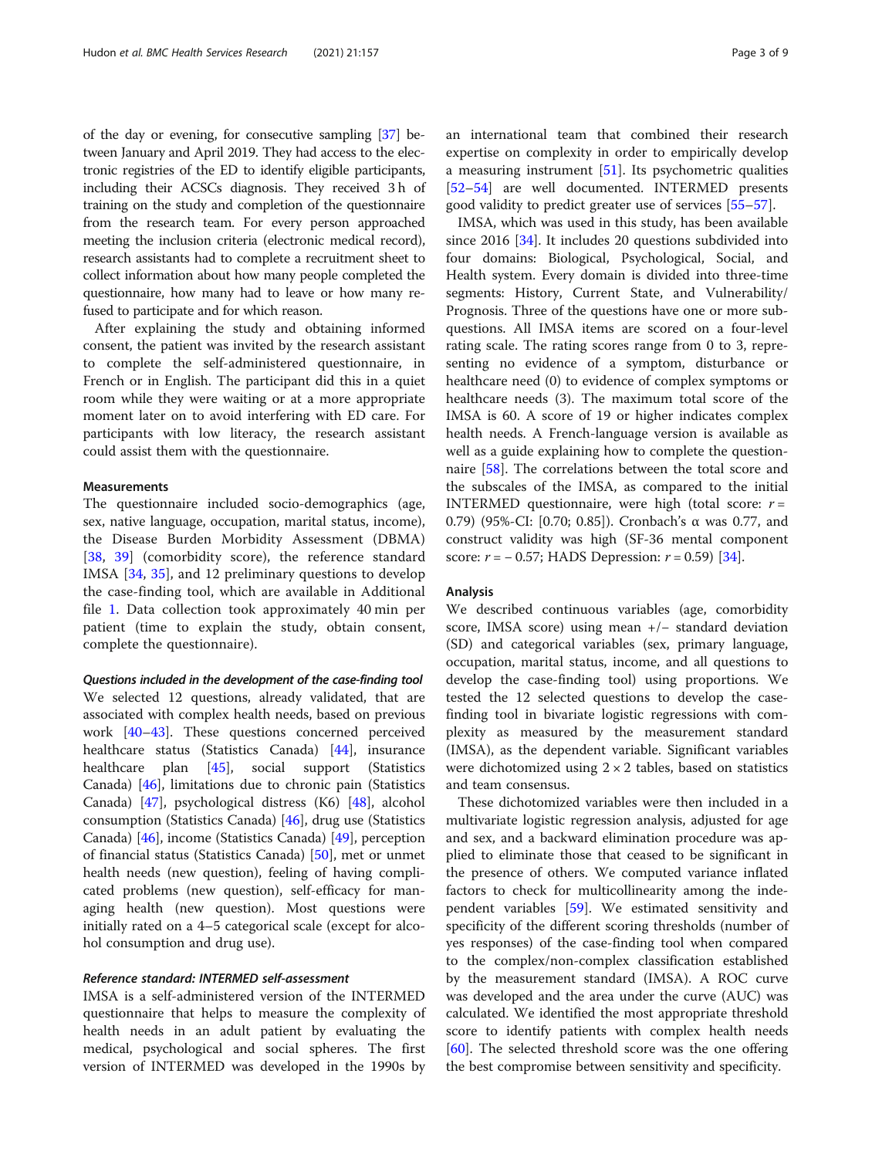of the day or evening, for consecutive sampling [\[37](#page-8-0)] between January and April 2019. They had access to the electronic registries of the ED to identify eligible participants, including their ACSCs diagnosis. They received 3 h of training on the study and completion of the questionnaire from the research team. For every person approached meeting the inclusion criteria (electronic medical record), research assistants had to complete a recruitment sheet to collect information about how many people completed the questionnaire, how many had to leave or how many refused to participate and for which reason.

After explaining the study and obtaining informed consent, the patient was invited by the research assistant to complete the self-administered questionnaire, in French or in English. The participant did this in a quiet room while they were waiting or at a more appropriate moment later on to avoid interfering with ED care. For participants with low literacy, the research assistant could assist them with the questionnaire.

## Measurements

The questionnaire included socio-demographics (age, sex, native language, occupation, marital status, income), the Disease Burden Morbidity Assessment (DBMA) [[38,](#page-8-0) [39](#page-8-0)] (comorbidity score), the reference standard IMSA [[34,](#page-8-0) [35](#page-8-0)], and 12 preliminary questions to develop the case-finding tool, which are available in Additional file [1](#page-6-0). Data collection took approximately 40 min per patient (time to explain the study, obtain consent, complete the questionnaire).

Questions included in the development of the case-finding tool We selected 12 questions, already validated, that are associated with complex health needs, based on previous work [\[40](#page-8-0)–[43\]](#page-8-0). These questions concerned perceived healthcare status (Statistics Canada) [\[44](#page-8-0)], insurance healthcare plan [\[45](#page-8-0)], social support (Statistics Canada) [\[46](#page-8-0)], limitations due to chronic pain (Statistics Canada) [[47\]](#page-8-0), psychological distress (K6) [[48\]](#page-8-0), alcohol consumption (Statistics Canada) [\[46\]](#page-8-0), drug use (Statistics Canada) [\[46](#page-8-0)], income (Statistics Canada) [[49\]](#page-8-0), perception of financial status (Statistics Canada) [[50\]](#page-8-0), met or unmet health needs (new question), feeling of having complicated problems (new question), self-efficacy for managing health (new question). Most questions were initially rated on a 4–5 categorical scale (except for alcohol consumption and drug use).

## Reference standard: INTERMED self-assessment

IMSA is a self-administered version of the INTERMED questionnaire that helps to measure the complexity of health needs in an adult patient by evaluating the medical, psychological and social spheres. The first version of INTERMED was developed in the 1990s by

an international team that combined their research expertise on complexity in order to empirically develop a measuring instrument [\[51](#page-8-0)]. Its psychometric qualities [[52](#page-8-0)–[54](#page-8-0)] are well documented. INTERMED presents good validity to predict greater use of services [\[55](#page-8-0)–[57\]](#page-8-0).

IMSA, which was used in this study, has been available since 2016 [[34\]](#page-8-0). It includes 20 questions subdivided into four domains: Biological, Psychological, Social, and Health system. Every domain is divided into three-time segments: History, Current State, and Vulnerability/ Prognosis. Three of the questions have one or more subquestions. All IMSA items are scored on a four-level rating scale. The rating scores range from 0 to 3, representing no evidence of a symptom, disturbance or healthcare need (0) to evidence of complex symptoms or healthcare needs (3). The maximum total score of the IMSA is 60. A score of 19 or higher indicates complex health needs. A French-language version is available as well as a guide explaining how to complete the questionnaire [[58\]](#page-8-0). The correlations between the total score and the subscales of the IMSA, as compared to the initial INTERMED questionnaire, were high (total score:  $r =$ 0.79) (95%-CI: [0.70; 0.85]). Cronbach's α was 0.77, and construct validity was high (SF-36 mental component score:  $r = -0.57$ ; HADS Depression:  $r = 0.59$  [[34\]](#page-8-0).

## Analysis

We described continuous variables (age, comorbidity score, IMSA score) using mean +/− standard deviation (SD) and categorical variables (sex, primary language, occupation, marital status, income, and all questions to develop the case-finding tool) using proportions. We tested the 12 selected questions to develop the casefinding tool in bivariate logistic regressions with complexity as measured by the measurement standard (IMSA), as the dependent variable. Significant variables were dichotomized using  $2 \times 2$  tables, based on statistics and team consensus.

These dichotomized variables were then included in a multivariate logistic regression analysis, adjusted for age and sex, and a backward elimination procedure was applied to eliminate those that ceased to be significant in the presence of others. We computed variance inflated factors to check for multicollinearity among the independent variables [\[59](#page-8-0)]. We estimated sensitivity and specificity of the different scoring thresholds (number of yes responses) of the case-finding tool when compared to the complex/non-complex classification established by the measurement standard (IMSA). A ROC curve was developed and the area under the curve (AUC) was calculated. We identified the most appropriate threshold score to identify patients with complex health needs [[60\]](#page-8-0). The selected threshold score was the one offering the best compromise between sensitivity and specificity.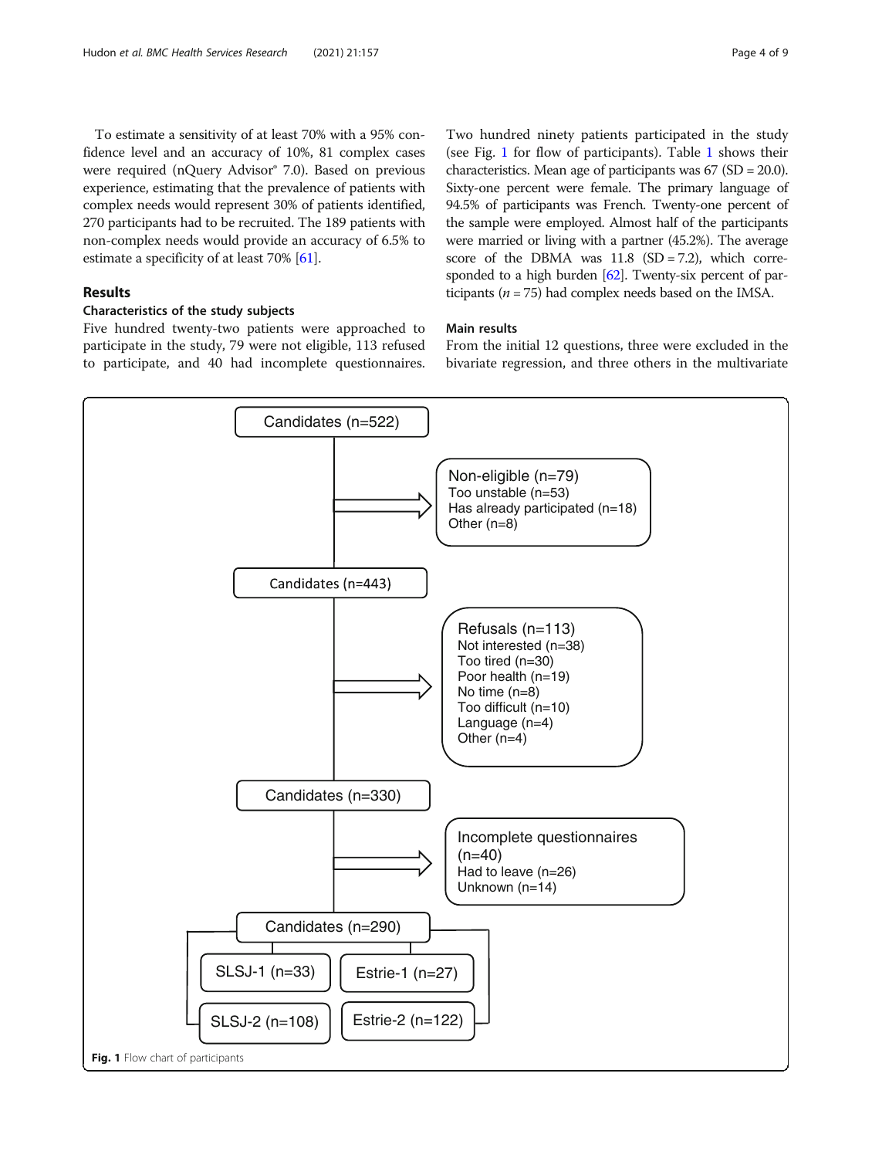To estimate a sensitivity of at least 70% with a 95% confidence level and an accuracy of 10%, 81 complex cases were required (nQuery Advisor® 7.0). Based on previous experience, estimating that the prevalence of patients with complex needs would represent 30% of patients identified, 270 participants had to be recruited. The 189 patients with non-complex needs would provide an accuracy of 6.5% to estimate a specificity of at least 70% [[61](#page-8-0)].

## Results

## Characteristics of the study subjects

Five hundred twenty-two patients were approached to participate in the study, 79 were not eligible, 113 refused to participate, and 40 had incomplete questionnaires.

Two hundred ninety patients participated in the study (see Fig. 1 for flow of participants). Table [1](#page-4-0) shows their characteristics. Mean age of participants was 67 (SD = 20.0). Sixty-one percent were female. The primary language of 94.5% of participants was French. Twenty-one percent of the sample were employed. Almost half of the participants were married or living with a partner (45.2%). The average score of the DBMA was  $11.8$  (SD = 7.2), which corre-sponded to a high burden [\[62\]](#page-8-0). Twenty-six percent of participants ( $n = 75$ ) had complex needs based on the IMSA.

## Main results

From the initial 12 questions, three were excluded in the bivariate regression, and three others in the multivariate

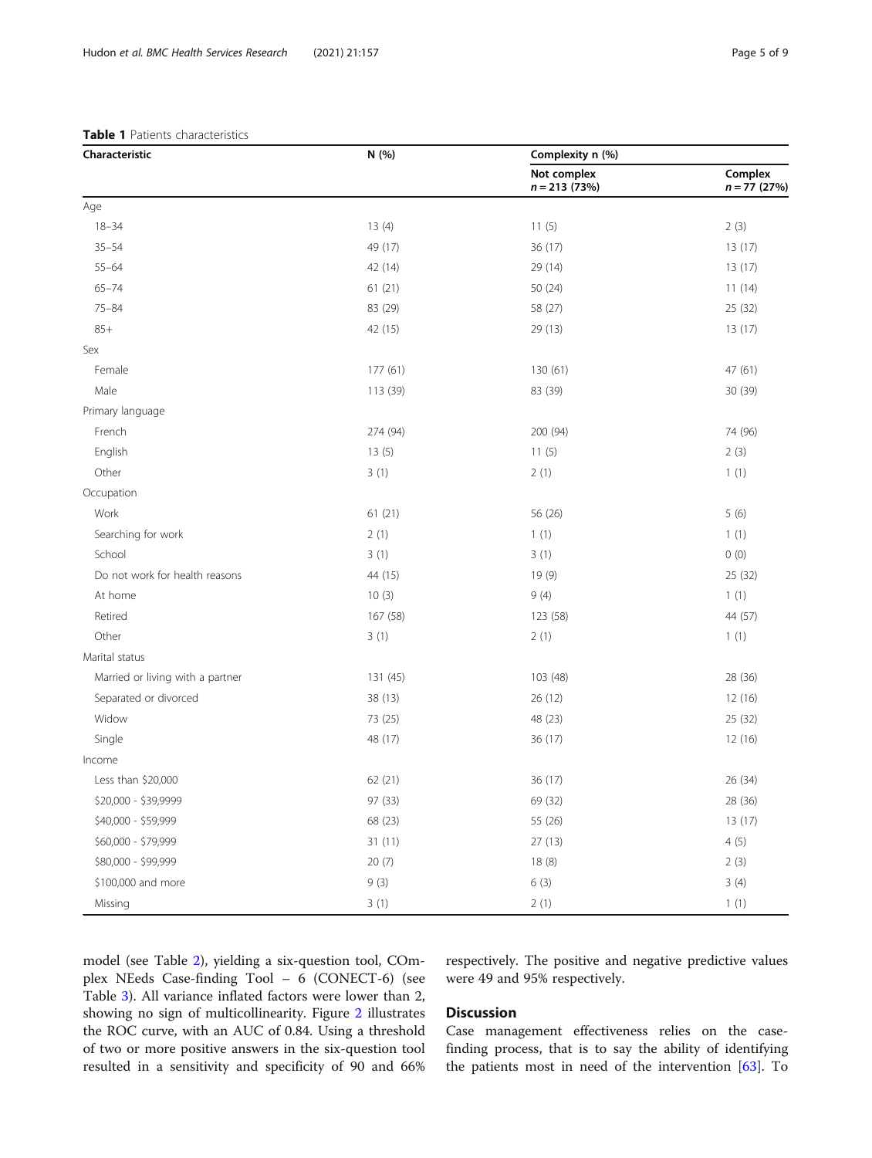<span id="page-4-0"></span>

| Characteristic                   | N (%)    | Complexity n (%)              |                           |  |
|----------------------------------|----------|-------------------------------|---------------------------|--|
|                                  |          | Not complex<br>$n = 213(73%)$ | Complex<br>$n = 77$ (27%) |  |
| Age                              |          |                               |                           |  |
| $18 - 34$                        | 13(4)    | 11(5)                         | 2(3)                      |  |
| $35 - 54$                        | 49 (17)  | 36 (17)                       | 13(17)                    |  |
| $55 - 64$                        | 42 (14)  | 29 (14)                       | 13 (17)                   |  |
| $65 - 74$                        | 61(21)   | 50 (24)                       | 11(14)                    |  |
| $75 - 84$                        | 83 (29)  | 58 (27)                       | 25 (32)                   |  |
| $85+$                            | 42 (15)  | 29 (13)                       | 13 (17)                   |  |
| Sex                              |          |                               |                           |  |
| Female                           | 177 (61) | 130 (61)                      | 47 (61)                   |  |
| Male                             | 113 (39) | 83 (39)                       | 30 (39)                   |  |
| Primary language                 |          |                               |                           |  |
| French                           | 274 (94) | 200 (94)                      | 74 (96)                   |  |
| English                          | 13(5)    | 11(5)                         | 2(3)                      |  |
| Other                            | 3(1)     | 2(1)                          | 1(1)                      |  |
| Occupation                       |          |                               |                           |  |
| Work                             | 61(21)   | 56 (26)                       | 5(6)                      |  |
| Searching for work               | 2(1)     | 1(1)                          | 1(1)                      |  |
| School                           | 3(1)     | 3(1)                          | 0(0)                      |  |
| Do not work for health reasons   | 44 (15)  | 19 (9)                        | 25 (32)                   |  |
| At home                          | 10(3)    | 9(4)                          | 1(1)                      |  |
| Retired                          | 167 (58) | 123 (58)                      | 44 (57)                   |  |
| Other                            | 3(1)     | 2(1)                          | 1(1)                      |  |
| Marital status                   |          |                               |                           |  |
| Married or living with a partner | 131 (45) | 103 (48)                      | 28 (36)                   |  |
| Separated or divorced            | 38 (13)  | 26 (12)                       | 12 (16)                   |  |
| Widow                            | 73 (25)  | 48 (23)                       | 25 (32)                   |  |
| Single                           | 48 (17)  | 36 (17)                       | 12 (16)                   |  |
| Income                           |          |                               |                           |  |
| Less than \$20,000               | 62 (21)  | 36 (17)                       | 26 (34)                   |  |
| \$20,000 - \$39,9999             | 97 (33)  | 69 (32)                       | 28 (36)                   |  |
| \$40,000 - \$59,999              | 68 (23)  | 55 (26)                       | 13(17)                    |  |
| \$60,000 - \$79,999              | 31(11)   | 27(13)                        | 4(5)                      |  |
| \$80,000 - \$99,999              | 20(7)    | 18(8)                         | 2(3)                      |  |
| \$100,000 and more               | 9(3)     | 6(3)                          | 3(4)                      |  |
| Missing                          | 3(1)     | 2(1)                          | 1(1)                      |  |

model (see Table [2\)](#page-5-0), yielding a six-question tool, COmplex NEeds Case-finding Tool – 6 (CONECT-6) (see Table [3\)](#page-5-0). All variance inflated factors were lower than 2, showing no sign of multicollinearity. Figure [2](#page-6-0) illustrates the ROC curve, with an AUC of 0.84. Using a threshold of two or more positive answers in the six-question tool resulted in a sensitivity and specificity of 90 and 66%

respectively. The positive and negative predictive values were 49 and 95% respectively.

## Discussion

Case management effectiveness relies on the casefinding process, that is to say the ability of identifying the patients most in need of the intervention [\[63](#page-8-0)]. To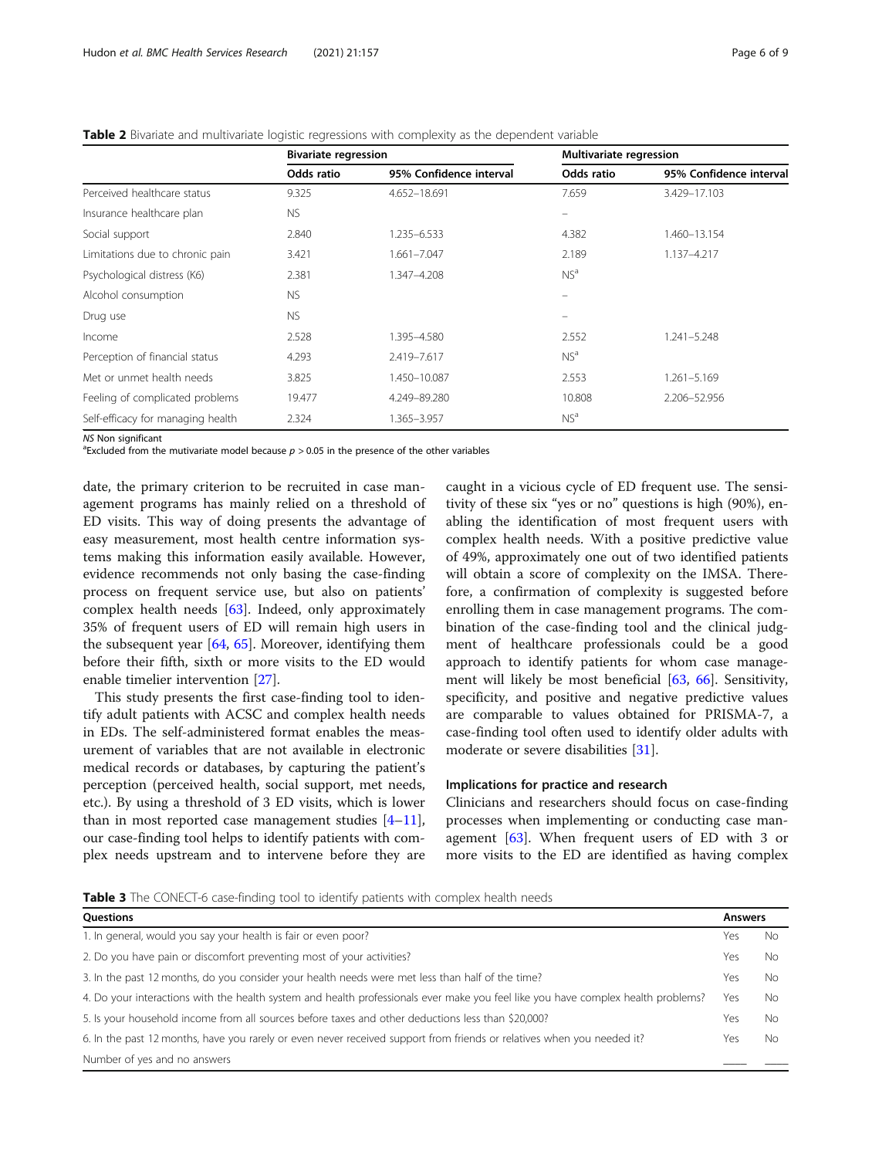|                                   | <b>Bivariate regression</b> |                         | <b>Multivariate regression</b> |                         |  |
|-----------------------------------|-----------------------------|-------------------------|--------------------------------|-------------------------|--|
|                                   | Odds ratio                  | 95% Confidence interval | Odds ratio                     | 95% Confidence interval |  |
| Perceived healthcare status       | 9.325                       | 4.652-18.691            | 7.659                          | 3.429-17.103            |  |
| Insurance healthcare plan         | <b>NS</b>                   |                         |                                |                         |  |
| Social support                    | 2.840                       | 1.235-6.533             | 4.382                          | 1.460-13.154            |  |
| Limitations due to chronic pain   | 3.421                       | 1.661-7.047             | 2.189                          | 1.137-4.217             |  |
| Psychological distress (K6)       | 2.381                       | 1.347-4.208             | NS <sup>a</sup>                |                         |  |
| Alcohol consumption               | <b>NS</b>                   |                         | $\equiv$                       |                         |  |
| Drug use                          | <b>NS</b>                   |                         | $\equiv$                       |                         |  |
| Income                            | 2.528                       | 1.395-4.580             | 2.552                          | 1.241-5.248             |  |
| Perception of financial status    | 4.293                       | 2.419-7.617             | NS <sup>a</sup>                |                         |  |
| Met or unmet health needs         | 3.825                       | 1.450-10.087            | 2.553                          | 1.261-5.169             |  |
| Feeling of complicated problems   | 19.477                      | 4.249-89.280            | 10.808                         | 2.206-52.956            |  |
| Self-efficacy for managing health | 2.324                       | 1.365-3.957             | NS <sup>a</sup>                |                         |  |
|                                   |                             |                         |                                |                         |  |

<span id="page-5-0"></span>

|--|

NS Non significant

<sup>a</sup> Excluded from the mutivariate model because  $p > 0.05$  in the presence of the other variables

date, the primary criterion to be recruited in case management programs has mainly relied on a threshold of ED visits. This way of doing presents the advantage of easy measurement, most health centre information systems making this information easily available. However, evidence recommends not only basing the case-finding process on frequent service use, but also on patients' complex health needs [\[63](#page-8-0)]. Indeed, only approximately 35% of frequent users of ED will remain high users in the subsequent year [[64,](#page-8-0) [65\]](#page-8-0). Moreover, identifying them before their fifth, sixth or more visits to the ED would enable timelier intervention [\[27](#page-7-0)].

This study presents the first case-finding tool to identify adult patients with ACSC and complex health needs in EDs. The self-administered format enables the measurement of variables that are not available in electronic medical records or databases, by capturing the patient's perception (perceived health, social support, met needs, etc.). By using a threshold of 3 ED visits, which is lower than in most reported case management studies  $[4-11]$  $[4-11]$  $[4-11]$  $[4-11]$  $[4-11]$ , our case-finding tool helps to identify patients with complex needs upstream and to intervene before they are

caught in a vicious cycle of ED frequent use. The sensitivity of these six "yes or no" questions is high (90%), enabling the identification of most frequent users with complex health needs. With a positive predictive value of 49%, approximately one out of two identified patients will obtain a score of complexity on the IMSA. Therefore, a confirmation of complexity is suggested before enrolling them in case management programs. The combination of the case-finding tool and the clinical judgment of healthcare professionals could be a good approach to identify patients for whom case management will likely be most beneficial [\[63](#page-8-0), [66](#page-8-0)]. Sensitivity, specificity, and positive and negative predictive values are comparable to values obtained for PRISMA-7, a case-finding tool often used to identify older adults with moderate or severe disabilities [[31\]](#page-8-0).

## Implications for practice and research

Clinicians and researchers should focus on case-finding processes when implementing or conducting case management [[63\]](#page-8-0). When frequent users of ED with 3 or more visits to the ED are identified as having complex

**Table 3** The CONECT-6 case-finding tool to identify patients with complex health needs

| <b>Ouestions</b>                                                                                                                  |     |     |
|-----------------------------------------------------------------------------------------------------------------------------------|-----|-----|
| 1. In general, would you say your health is fair or even poor?                                                                    | Yes | Nο  |
| 2. Do you have pain or discomfort preventing most of your activities?                                                             | Yes | No. |
| 3. In the past 12 months, do you consider your health needs were met less than half of the time?                                  | Yes | No. |
| 4. Do your interactions with the health system and health professionals ever make you feel like you have complex health problems? | Yes | No. |
| 5. Is your household income from all sources before taxes and other deductions less than \$20,000?                                | Yes | No. |
| 6. In the past 12 months, have you rarely or even never received support from friends or relatives when you needed it?            | Yes | No. |
| Number of yes and no answers                                                                                                      |     |     |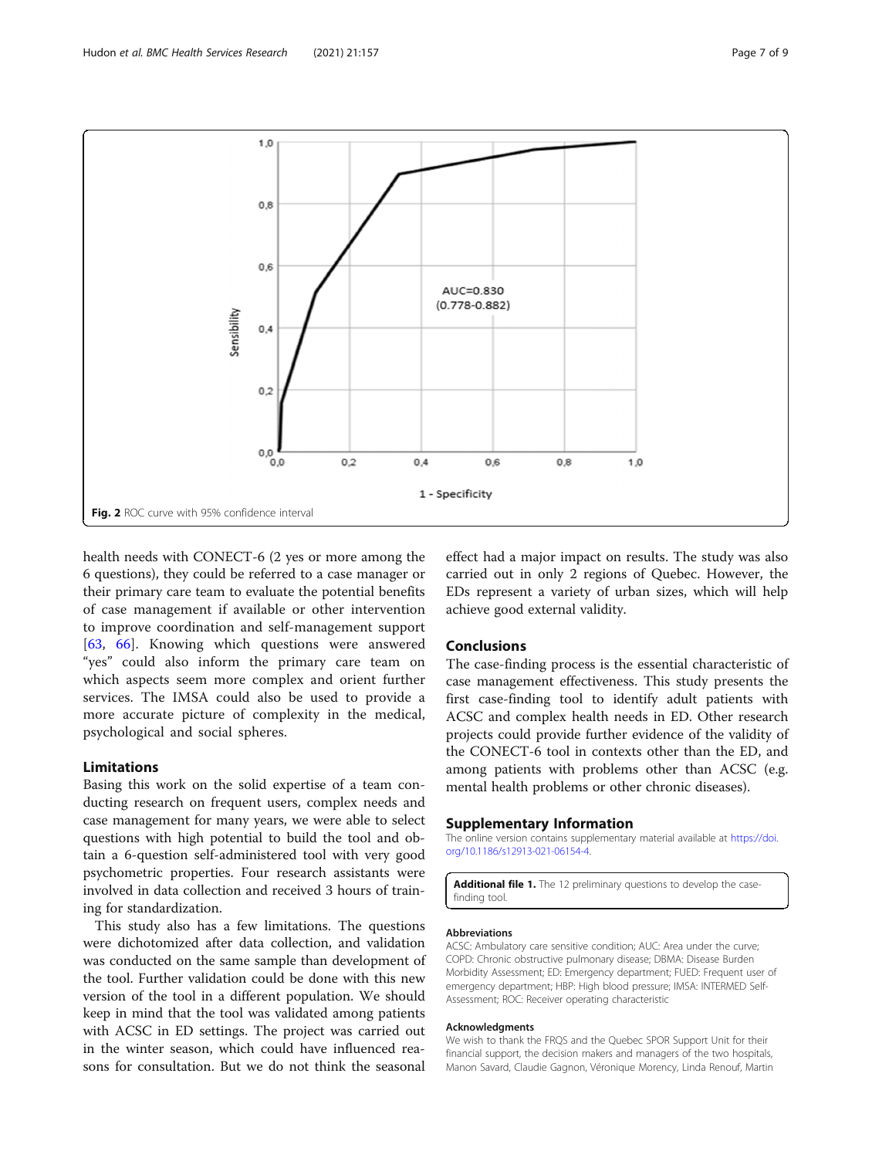<span id="page-6-0"></span>

health needs with CONECT-6 (2 yes or more among the 6 questions), they could be referred to a case manager or their primary care team to evaluate the potential benefits of case management if available or other intervention to improve coordination and self-management support [[63,](#page-8-0) [66](#page-8-0)]. Knowing which questions were answered "yes" could also inform the primary care team on which aspects seem more complex and orient further services. The IMSA could also be used to provide a more accurate picture of complexity in the medical, psychological and social spheres.

## Limitations

Basing this work on the solid expertise of a team conducting research on frequent users, complex needs and case management for many years, we were able to select questions with high potential to build the tool and obtain a 6-question self-administered tool with very good psychometric properties. Four research assistants were involved in data collection and received 3 hours of training for standardization.

This study also has a few limitations. The questions were dichotomized after data collection, and validation was conducted on the same sample than development of the tool. Further validation could be done with this new version of the tool in a different population. We should keep in mind that the tool was validated among patients with ACSC in ED settings. The project was carried out in the winter season, which could have influenced reasons for consultation. But we do not think the seasonal

effect had a major impact on results. The study was also carried out in only 2 regions of Quebec. However, the EDs represent a variety of urban sizes, which will help achieve good external validity.

## Conclusions

The case-finding process is the essential characteristic of case management effectiveness. This study presents the first case-finding tool to identify adult patients with ACSC and complex health needs in ED. Other research projects could provide further evidence of the validity of the CONECT-6 tool in contexts other than the ED, and among patients with problems other than ACSC (e.g. mental health problems or other chronic diseases).

#### Supplementary Information

The online version contains supplementary material available at [https://doi.](https://doi.org/10.1186/s12913-021-06154-4) [org/10.1186/s12913-021-06154-4.](https://doi.org/10.1186/s12913-021-06154-4)

Additional file 1. The 12 preliminary questions to develop the casefinding tool.

#### Abbreviations

ACSC: Ambulatory care sensitive condition; AUC: Area under the curve; COPD: Chronic obstructive pulmonary disease; DBMA: Disease Burden Morbidity Assessment; ED: Emergency department; FUED: Frequent user of emergency department; HBP: High blood pressure; IMSA: INTERMED Self-Assessment; ROC: Receiver operating characteristic

#### Acknowledgments

We wish to thank the FRQS and the Quebec SPOR Support Unit for their financial support, the decision makers and managers of the two hospitals, Manon Savard, Claudie Gagnon, Véronique Morency, Linda Renouf, Martin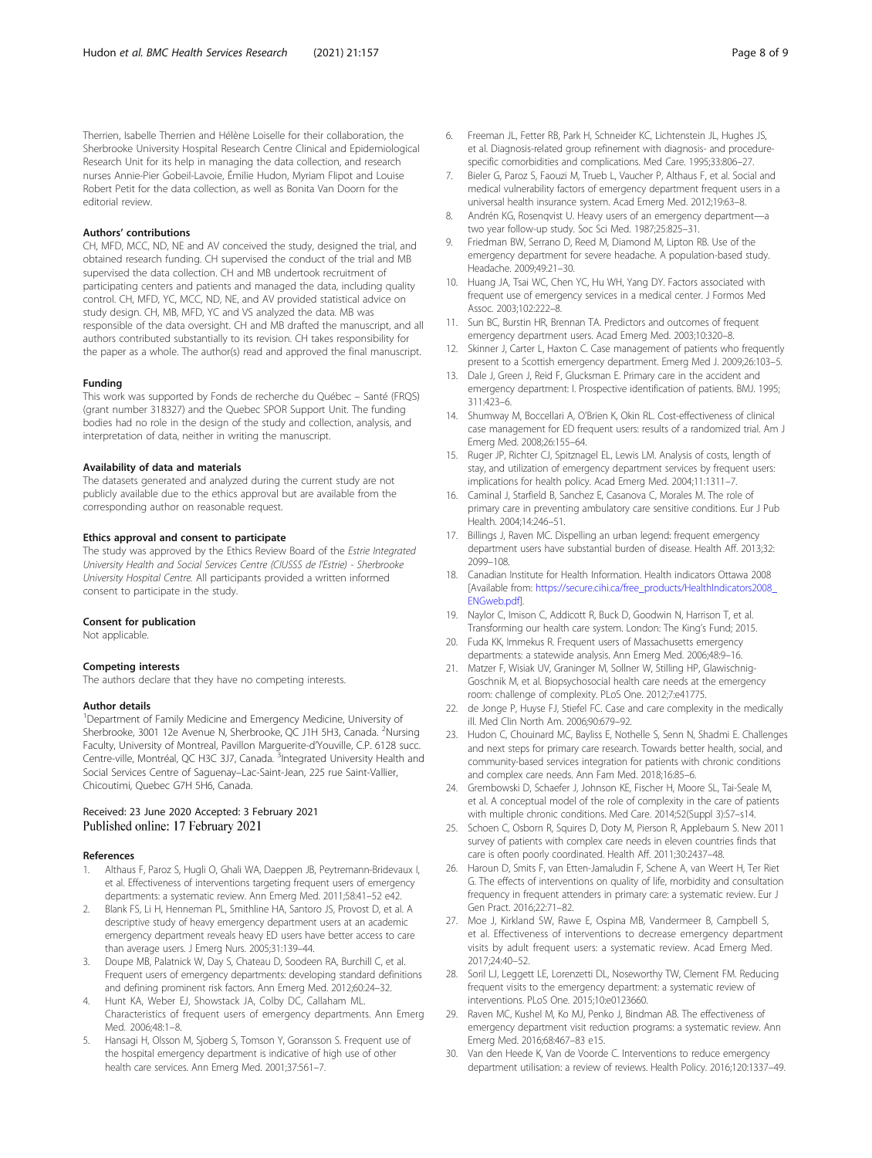<span id="page-7-0"></span>Therrien, Isabelle Therrien and Hélène Loiselle for their collaboration, the Sherbrooke University Hospital Research Centre Clinical and Epidemiological Research Unit for its help in managing the data collection, and research nurses Annie-Pier Gobeil-Lavoie, Émilie Hudon, Myriam Flipot and Louise Robert Petit for the data collection, as well as Bonita Van Doorn for the editorial review.

#### Authors' contributions

CH, MFD, MCC, ND, NE and AV conceived the study, designed the trial, and obtained research funding. CH supervised the conduct of the trial and MB supervised the data collection. CH and MB undertook recruitment of participating centers and patients and managed the data, including quality control. CH, MFD, YC, MCC, ND, NE, and AV provided statistical advice on study design. CH, MB, MFD, YC and VS analyzed the data. MB was responsible of the data oversight. CH and MB drafted the manuscript, and all authors contributed substantially to its revision. CH takes responsibility for the paper as a whole. The author(s) read and approved the final manuscript.

## Funding

This work was supported by Fonds de recherche du Québec – Santé (FRQS) (grant number 318327) and the Quebec SPOR Support Unit. The funding bodies had no role in the design of the study and collection, analysis, and interpretation of data, neither in writing the manuscript.

#### Availability of data and materials

The datasets generated and analyzed during the current study are not publicly available due to the ethics approval but are available from the corresponding author on reasonable request.

#### Ethics approval and consent to participate

The study was approved by the Ethics Review Board of the Estrie Integrated University Health and Social Services Centre (CIUSSS de l'Estrie) - Sherbrooke University Hospital Centre. All participants provided a written informed consent to participate in the study.

#### Consent for publication

Not applicable.

#### Competing interests

The authors declare that they have no competing interests.

#### Author details

<sup>1</sup>Department of Family Medicine and Emergency Medicine, University of Sherbrooke, 3001 12e Avenue N, Sherbrooke, QC J1H 5H3, Canada. <sup>2</sup>Nursing Faculty, University of Montreal, Pavillon Marguerite-d'Youville, C.P. 6128 succ. Centre-ville, Montréal, QC H3C 3J7, Canada. 3Integrated University Health and Social Services Centre of Saguenay–Lac-Saint-Jean, 225 rue Saint-Vallier, Chicoutimi, Quebec G7H 5H6, Canada.

## Received: 23 June 2020 Accepted: 3 February 2021 Published online: 17 February 2021

#### References

- 1. Althaus F, Paroz S, Hugli O, Ghali WA, Daeppen JB, Peytremann-Bridevaux I, et al. Effectiveness of interventions targeting frequent users of emergency departments: a systematic review. Ann Emerg Med. 2011;58:41–52 e42.
- 2. Blank FS, Li H, Henneman PL, Smithline HA, Santoro JS, Provost D, et al. A descriptive study of heavy emergency department users at an academic emergency department reveals heavy ED users have better access to care than average users. J Emerg Nurs. 2005;31:139–44.
- 3. Doupe MB, Palatnick W, Day S, Chateau D, Soodeen RA, Burchill C, et al. Frequent users of emergency departments: developing standard definitions and defining prominent risk factors. Ann Emerg Med. 2012;60:24–32.
- 4. Hunt KA, Weber EJ, Showstack JA, Colby DC, Callaham ML. Characteristics of frequent users of emergency departments. Ann Emerg Med. 2006;48:1–8.
- Hansagi H, Olsson M, Sjoberg S, Tomson Y, Goransson S. Frequent use of the hospital emergency department is indicative of high use of other health care services. Ann Emerg Med. 2001;37:561–7.
- et al. Diagnosis-related group refinement with diagnosis- and procedurespecific comorbidities and complications. Med Care. 1995;33:806–27. 7. Bieler G, Paroz S, Faouzi M, Trueb L, Vaucher P, Althaus F, et al. Social and
- medical vulnerability factors of emergency department frequent users in a universal health insurance system. Acad Emerg Med. 2012;19:63–8.
- 8. Andrén KG, Rosenqvist U. Heavy users of an emergency department—a two year follow-up study. Soc Sci Med. 1987;25:825–31.
- 9. Friedman BW, Serrano D, Reed M, Diamond M, Lipton RB. Use of the emergency department for severe headache. A population-based study. Headache. 2009;49:21–30.
- 10. Huang JA, Tsai WC, Chen YC, Hu WH, Yang DY. Factors associated with frequent use of emergency services in a medical center. J Formos Med Assoc. 2003;102:222–8.
- 11. Sun BC, Burstin HR, Brennan TA. Predictors and outcomes of frequent emergency department users. Acad Emerg Med. 2003;10:320–8.
- 12. Skinner J, Carter L, Haxton C. Case management of patients who frequently present to a Scottish emergency department. Emerg Med J. 2009;26:103–5.
- 13. Dale J, Green J, Reid F, Glucksman E. Primary care in the accident and emergency department: I. Prospective identification of patients. BMJ. 1995; 311:423–6.
- 14. Shumway M, Boccellari A, O'Brien K, Okin RL. Cost-effectiveness of clinical case management for ED frequent users: results of a randomized trial. Am J Emerg Med. 2008;26:155–64.
- 15. Ruger JP, Richter CJ, Spitznagel EL, Lewis LM. Analysis of costs, length of stay, and utilization of emergency department services by frequent users: implications for health policy. Acad Emerg Med. 2004;11:1311–7.
- 16. Caminal J, Starfield B, Sanchez E, Casanova C, Morales M. The role of primary care in preventing ambulatory care sensitive conditions. Eur J Pub Health. 2004;14:246–51.
- 17. Billings J, Raven MC. Dispelling an urban legend: frequent emergency department users have substantial burden of disease. Health Aff. 2013;32: 2099–108.
- 18. Canadian Institute for Health Information. Health indicators Ottawa 2008 [Available from: [https://secure.cihi.ca/free\\_products/HealthIndicators2008\\_](https://secure.cihi.ca/free_products/HealthIndicators2008_ENGweb.pdf) [ENGweb.pdf](https://secure.cihi.ca/free_products/HealthIndicators2008_ENGweb.pdf)].
- 19. Naylor C, Imison C, Addicott R, Buck D, Goodwin N, Harrison T, et al. Transforming our health care system. London: The King's Fund; 2015.
- 20. Fuda KK, Immekus R. Frequent users of Massachusetts emergency departments: a statewide analysis. Ann Emerg Med. 2006;48:9–16.
- 21. Matzer F, Wisiak UV, Graninger M, Sollner W, Stilling HP, Glawischnig-Goschnik M, et al. Biopsychosocial health care needs at the emergency room: challenge of complexity. PLoS One. 2012;7:e41775.
- 22. de Jonge P, Huyse FJ, Stiefel FC. Case and care complexity in the medically ill. Med Clin North Am. 2006;90:679–92.
- 23. Hudon C, Chouinard MC, Bayliss E, Nothelle S, Senn N, Shadmi E. Challenges and next steps for primary care research. Towards better health, social, and community-based services integration for patients with chronic conditions and complex care needs. Ann Fam Med. 2018;16:85–6.
- 24. Grembowski D, Schaefer J, Johnson KE, Fischer H, Moore SL, Tai-Seale M, et al. A conceptual model of the role of complexity in the care of patients with multiple chronic conditions. Med Care. 2014;52(Suppl 3):S7–s14.
- 25. Schoen C, Osborn R, Squires D, Doty M, Pierson R, Applebaum S. New 2011 survey of patients with complex care needs in eleven countries finds that care is often poorly coordinated. Health Aff. 2011;30:2437–48.
- 26. Haroun D, Smits F, van Etten-Jamaludin F, Schene A, van Weert H, Ter Riet G. The effects of interventions on quality of life, morbidity and consultation frequency in frequent attenders in primary care: a systematic review. Eur J Gen Pract. 2016;22:71–82.
- 27. Moe J, Kirkland SW, Rawe E, Ospina MB, Vandermeer B, Campbell S, et al. Effectiveness of interventions to decrease emergency department visits by adult frequent users: a systematic review. Acad Emerg Med. 2017;24:40–52.
- 28. Soril LJ, Leggett LE, Lorenzetti DL, Noseworthy TW, Clement FM. Reducing frequent visits to the emergency department: a systematic review of interventions. PLoS One. 2015;10:e0123660.
- 29. Raven MC, Kushel M, Ko MJ, Penko J, Bindman AB. The effectiveness of emergency department visit reduction programs: a systematic review. Ann Emerg Med. 2016;68:467–83 e15.
- 30. Van den Heede K, Van de Voorde C. Interventions to reduce emergency department utilisation: a review of reviews. Health Policy. 2016;120:1337–49.